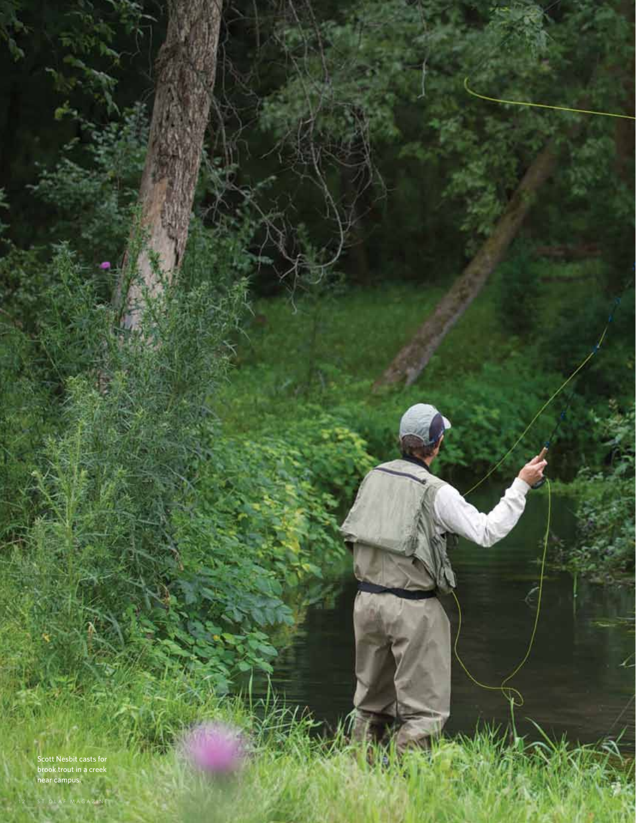Scott Nesbit casts for<br>brook trout in a creek<br>near campus.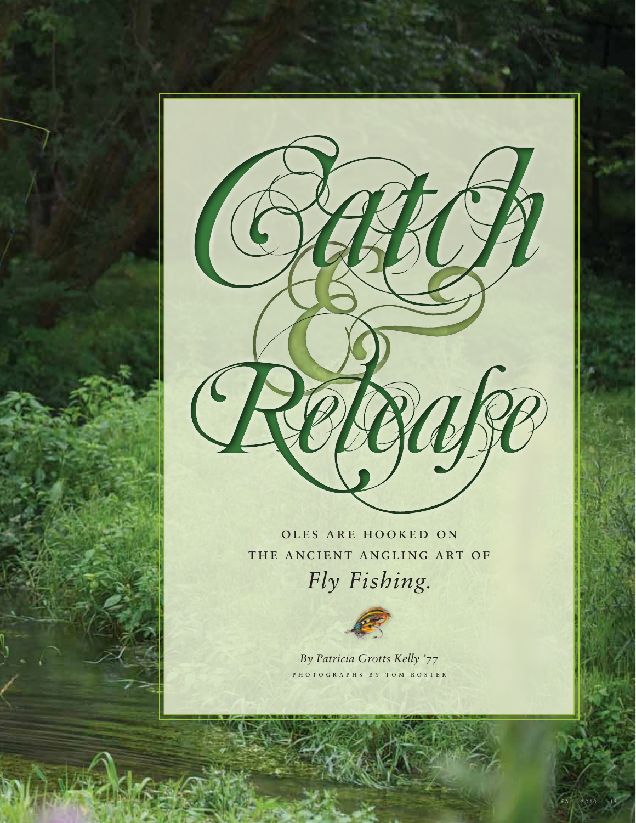

oles are hooked on the ancient angling art of *Fly Fishing.*



*By Patricia Grotts Kelly '77* p h o t o g r a p h s b y t o m r o s t e r

FALL 2010 13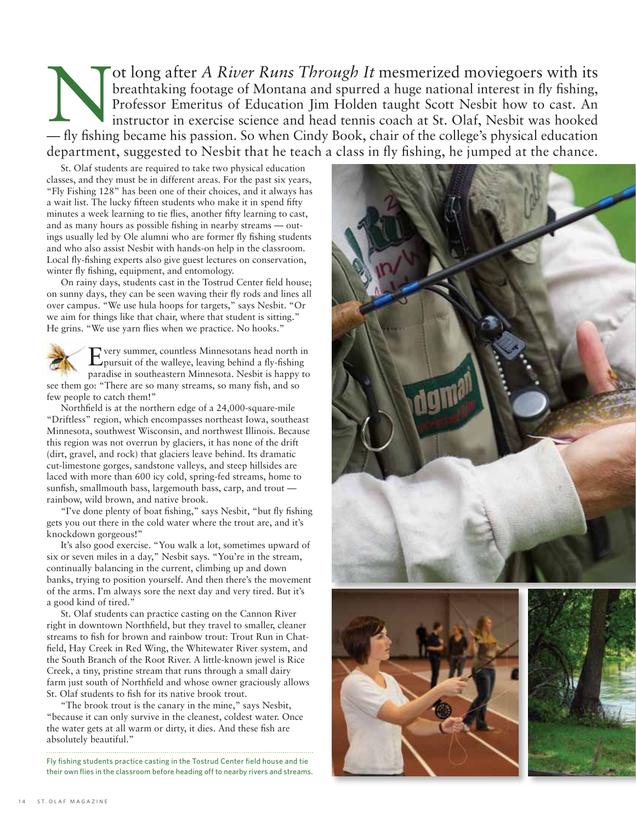Through It mesmerized moviegoers with its<br>breathtaking footage of Montana and spurred a huge national interest in fly fishing,<br>Professor Emeritus of Education Jim Holden taught Scott Nesbit how to cast. An<br>instructor in ex breathtaking footage of Montana and spurred a huge national interest in fly fishing, Professor Emeritus of Education Jim Holden taught Scott Nesbit how to cast. An instructor in exercise science and head tennis coach at St. Olaf, Nesbit was hooked — fly fishing became his passion. So when Cindy Book, chair of the college's physical education department, suggested to Nesbit that he teach a class in fly fishing, he jumped at the chance.

St. Olaf students are required to take two physical education classes, and they must be in different areas. For the past six years, "Fly Fishing 128" has been one of their choices, and it always has a wait list. The lucky fifteen students who make it in spend fifty minutes a week learning to tie flies, another fifty learning to cast, and as many hours as possible fishing in nearby streams — outings usually led by Ole alumni who are former fly fishing students and who also assist Nesbit with hands-on help in the classroom. Local fly-fishing experts also give guest lectures on conservation, winter fly fishing, equipment, and entomology.

On rainy days, students cast in the Tostrud Center field house; on sunny days, they can be seen waving their fly rods and lines all over campus. "We use hula hoops for targets," says Nesbit. "Or we aim for things like that chair, where that student is sitting." He grins. "We use yarn flies when we practice. No hooks."

Every summer, countless Minnesotans head north in pursuit of the walleye, leaving behind a fly-fishing paradise in southeastern Minnesota. Nesbit is happy to see them go: "There are so many streams, so many fish, and so few people to catch them!"

Northfield is at the northern edge of a 24,000-square-mile "Driftless" region, which encompasses northeast Iowa, southeast Minnesota, southwest Wisconsin, and northwest Illinois. Because this region was not overrun by glaciers, it has none of the drift (dirt, gravel, and rock) that glaciers leave behind. Its dramatic cut-limestone gorges, sandstone valleys, and steep hillsides are laced with more than 600 icy cold, spring-fed streams, home to sunfish, smallmouth bass, largemouth bass, carp, and trout rainbow, wild brown, and native brook.

"I've done plenty of boat fishing," says Nesbit, "but fly fishing gets you out there in the cold water where the trout are, and it's knockdown gorgeous!"

It's also good exercise. "You walk a lot, sometimes upward of six or seven miles in a day," Nesbit says. "You're in the stream, continually balancing in the current, climbing up and down banks, trying to position yourself. And then there's the movement of the arms. I'm always sore the next day and very tired. But it's a good kind of tired."

St. Olaf students can practice casting on the Cannon River right in downtown Northfield, but they travel to smaller, cleaner streams to fish for brown and rainbow trout: Trout Run in Chatfield, Hay Creek in Red Wing, the Whitewater River system, and the South Branch of the Root River. A little-known jewel is Rice Creek, a tiny, pristine stream that runs through a small dairy farm just south of Northfield and whose owner graciously allows St. Olaf students to fish for its native brook trout.

"The brook trout is the canary in the mine," says Nesbit, "because it can only survive in the cleanest, coldest water. Once the water gets at all warm or dirty, it dies. And these fish are absolutely beautiful."

Fly fishing students practice casting in the Tostrud Center field house and tie their own flies in the classroom before heading off to nearby rivers and streams.